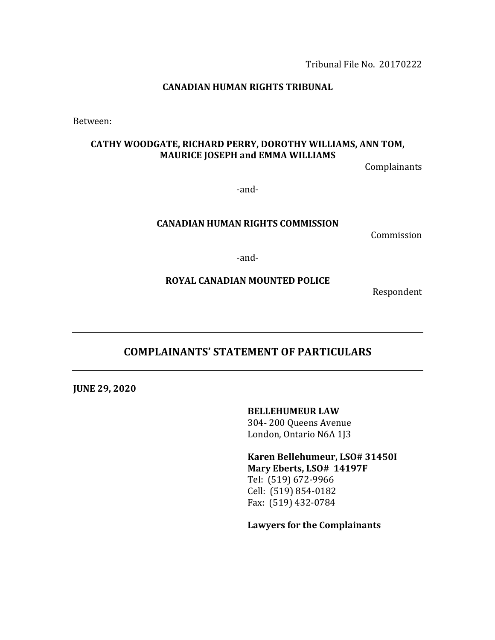Tribunal File No. 20170222

#### **CANADIAN HUMAN RIGHTS TRIBUNAL**

Between:

### CATHY WOODGATE, RICHARD PERRY, DOROTHY WILLIAMS, ANN TOM, **MAURICE JOSEPH and EMMA WILLIAMS**

Complainants

-and-

#### **CANADIAN HUMAN RIGHTS COMMISSION**

Commission

-and-

#### **ROYAL CANADIAN MOUNTED POLICE**

Respondent

# **COMPLAINANTS' STATEMENT OF PARTICULARS**

**JUNE 29, 2020**

**BELLEHUMEUR LAW** 

304- 200 Queens Avenue London, Ontario N6A 1J3

**Karen Bellehumeur, LSO# 31450I Mary Eberts, LSO# 14197F** Tel: (519) 672-9966 Cell: (519) 854-0182 Fax: (519) 432-0784

Lawyers for the Complainants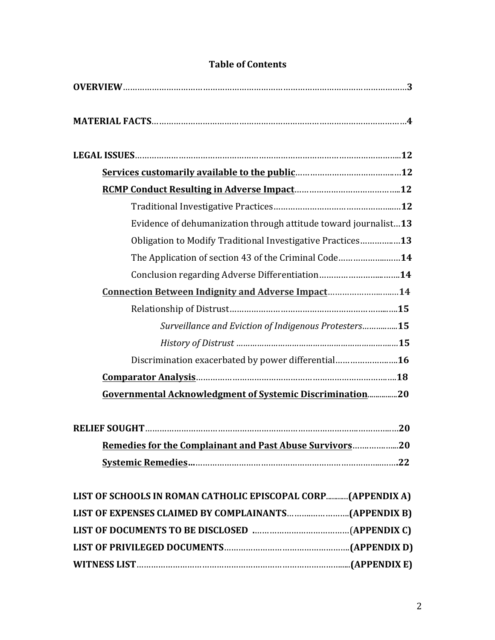| Evidence of dehumanization through attitude toward journalist13 |
|-----------------------------------------------------------------|
| Obligation to Modify Traditional Investigative Practices13      |
| The Application of section 43 of the Criminal Code14            |
| Conclusion regarding Adverse Differentiation14                  |
| <u>Connection Between Indignity and Adverse Impact14</u>        |
|                                                                 |
| Surveillance and Eviction of Indigenous Protesters15            |
|                                                                 |
| Discrimination exacerbated by power differential16              |
|                                                                 |
| Governmental Acknowledgment of Systemic Discrimination20        |
|                                                                 |
|                                                                 |
| <b>Remedies for the Complainant and Past Abuse Survivors20</b>  |
|                                                                 |
|                                                                 |
| LIST OF SCHOOLS IN ROMAN CATHOLIC EPISCOPAL CORP(APPENDIX A)    |
|                                                                 |
|                                                                 |
|                                                                 |
|                                                                 |

# **Table of Contents**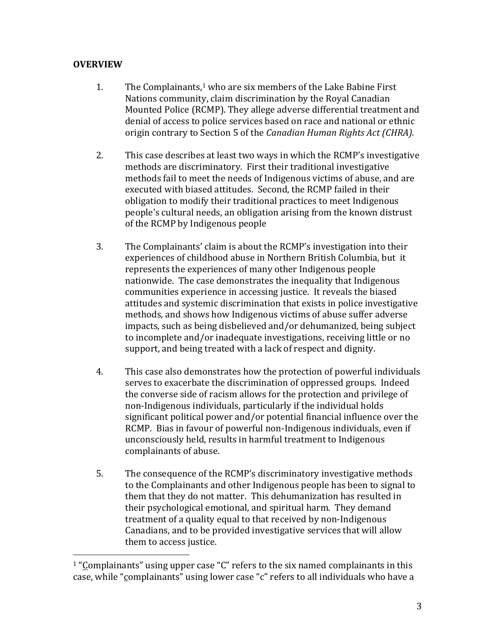# **OVERVIEW**

- 1. The Complainants,<sup>1</sup> who are six members of the Lake Babine First Nations community, claim discrimination by the Royal Canadian Mounted Police (RCMP). They allege adverse differential treatment and denial of access to police services based on race and national or ethnic origin contrary to Section 5 of the *Canadian Human Rights Act (CHRA).*
- 2. This case describes at least two ways in which the RCMP's investigative methods are discriminatory. First their traditional investigative methods fail to meet the needs of Indigenous victims of abuse, and are executed with biased attitudes. Second, the RCMP failed in their obligation to modify their traditional practices to meet Indigenous people's cultural needs, an obligation arising from the known distrust of the RCMP by Indigenous people
- 3. The Complainants' claim is about the RCMP's investigation into their experiences of childhood abuse in Northern British Columbia, but it represents the experiences of many other Indigenous people nationwide. The case demonstrates the inequality that Indigenous communities experience in accessing justice. It reveals the biased attitudes and systemic discrimination that exists in police investigative methods, and shows how Indigenous victims of abuse suffer adverse impacts, such as being disbelieved and/or dehumanized, being subject to incomplete and/or inadequate investigations, receiving little or no support, and being treated with a lack of respect and dignity.
- 4. This case also demonstrates how the protection of powerful individuals serves to exacerbate the discrimination of oppressed groups. Indeed the converse side of racism allows for the protection and privilege of non-Indigenous individuals, particularly if the individual holds significant political power and/or potential financial influence over the RCMP. Bias in favour of powerful non-Indigenous individuals, even if unconsciously held, results in harmful treatment to Indigenous complainants of abuse.
- 5. The consequence of the RCMP's discriminatory investigative methods to the Complainants and other Indigenous people has been to signal to them that they do not matter. This dehumanization has resulted in their psychological emotional, and spiritual harm. They demand treatment of a quality equal to that received by non-Indigenous Canadians, and to be provided investigative services that will allow them to access justice.

 $1$  "Complainants" using upper case "C" refers to the six named complainants in this case, while "complainants" using lower case "c" refers to all individuals who have a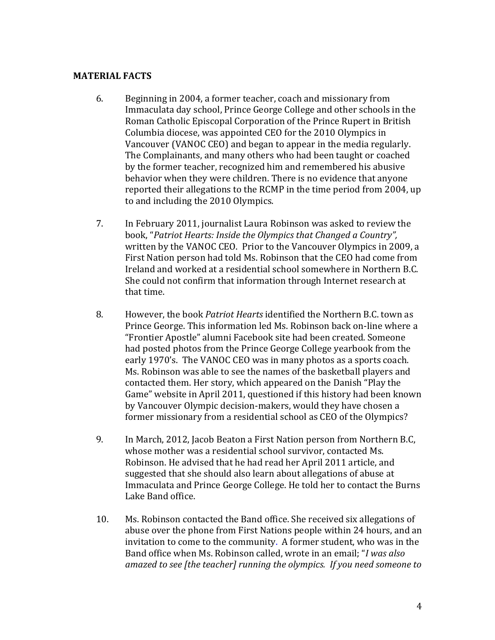#### **MATERIAL FACTS**

- 6. Beginning in 2004, a former teacher, coach and missionary from Immaculata day school, Prince George College and other schools in the Roman Catholic Episcopal Corporation of the Prince Rupert in British Columbia diocese, was appointed CEO for the 2010 Olympics in Vancouver (VANOC CEO) and began to appear in the media regularly. The Complainants, and many others who had been taught or coached by the former teacher, recognized him and remembered his abusive behavior when they were children. There is no evidence that anyone reported their allegations to the RCMP in the time period from 2004, up to and including the 2010 Olympics.
- 7. In February 2011, journalist Laura Robinson was asked to review the book, "Patriot Hearts: Inside the Olympics that Changed a Country", written by the VANOC CEO. Prior to the Vancouver Olympics in 2009, a First Nation person had told Ms. Robinson that the CEO had come from Ireland and worked at a residential school somewhere in Northern B.C. She could not confirm that information through Internet research at that time.
- 8. However, the book *Patriot Hearts* identified the Northern B.C. town as Prince George. This information led Ms. Robinson back on-line where a "Frontier Apostle" alumni Facebook site had been created. Someone had posted photos from the Prince George College yearbook from the early 1970's. The VANOC CEO was in many photos as a sports coach. Ms. Robinson was able to see the names of the basketball players and contacted them. Her story, which appeared on the Danish "Play the Game" website in April 2011, questioned if this history had been known by Vancouver Olympic decision-makers, would they have chosen a former missionary from a residential school as CEO of the Olympics?
- 9. In March, 2012, Jacob Beaton a First Nation person from Northern B.C, whose mother was a residential school survivor, contacted Ms. Robinson. He advised that he had read her April 2011 article, and suggested that she should also learn about allegations of abuse at Immaculata and Prince George College. He told her to contact the Burns Lake Band office.
- 10. Ms. Robinson contacted the Band office. She received six allegations of abuse over the phone from First Nations people within 24 hours, and an invitation to come to the community. A former student, who was in the Band office when Ms. Robinson called, wrote in an email; "*I was also amazed to see [the teacher] running the olympics. If you need someone to*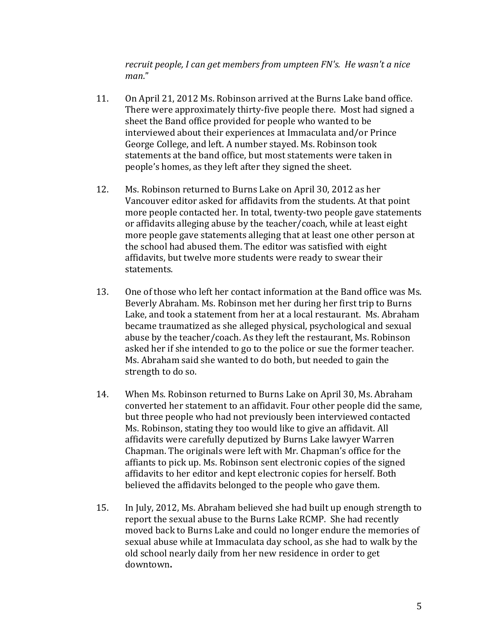recruit people, I can get members from umpteen FN's. He wasn't a nice *man*."

- 11. On April 21, 2012 Ms. Robinson arrived at the Burns Lake band office. There were approximately thirty-five people there. Most had signed a sheet the Band office provided for people who wanted to be interviewed about their experiences at Immaculata and/or Prince George College, and left. A number stayed. Ms. Robinson took statements at the band office, but most statements were taken in people's homes, as they left after they signed the sheet.
- 12. Ms. Robinson returned to Burns Lake on April 30, 2012 as her Vancouver editor asked for affidavits from the students. At that point more people contacted her. In total, twenty-two people gave statements or affidavits alleging abuse by the teacher/coach, while at least eight more people gave statements alleging that at least one other person at the school had abused them. The editor was satisfied with eight affidavits, but twelve more students were ready to swear their statements.
- 13. One of those who left her contact information at the Band office was Ms. Beverly Abraham. Ms. Robinson met her during her first trip to Burns Lake, and took a statement from her at a local restaurant. Ms. Abraham became traumatized as she alleged physical, psychological and sexual abuse by the teacher/coach. As they left the restaurant, Ms. Robinson asked her if she intended to go to the police or sue the former teacher. Ms. Abraham said she wanted to do both, but needed to gain the strength to do so.
- 14. When Ms. Robinson returned to Burns Lake on April 30, Ms. Abraham converted her statement to an affidavit. Four other people did the same, but three people who had not previously been interviewed contacted Ms. Robinson, stating they too would like to give an affidavit. All affidavits were carefully deputized by Burns Lake lawyer Warren Chapman. The originals were left with Mr. Chapman's office for the affiants to pick up. Ms. Robinson sent electronic copies of the signed affidavits to her editor and kept electronic copies for herself. Both believed the affidavits belonged to the people who gave them.
- 15. In July, 2012, Ms. Abraham believed she had built up enough strength to report the sexual abuse to the Burns Lake RCMP. She had recently moved back to Burns Lake and could no longer endure the memories of sexual abuse while at Immaculata day school, as she had to walk by the old school nearly daily from her new residence in order to get downtown**.**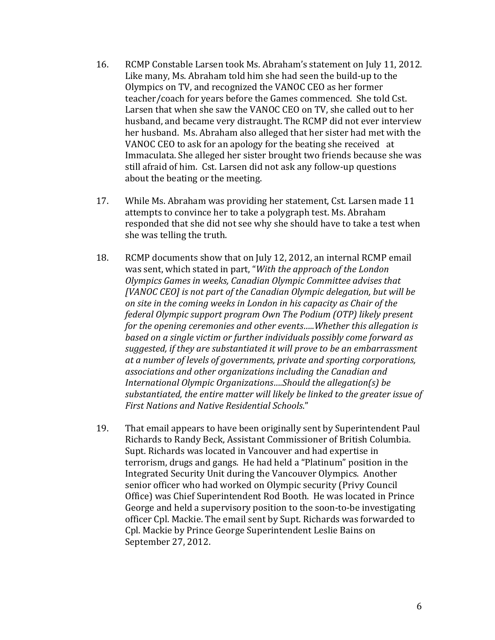- 16. RCMP Constable Larsen took Ms. Abraham's statement on July 11, 2012. Like many, Ms. Abraham told him she had seen the build-up to the Olympics on TV, and recognized the VANOC CEO as her former teacher/coach for years before the Games commenced. She told Cst. Larsen that when she saw the VANOC CEO on TV, she called out to her husband, and became very distraught. The RCMP did not ever interview her husband. Ms. Abraham also alleged that her sister had met with the VANOC CEO to ask for an apology for the beating she received at Immaculata. She alleged her sister brought two friends because she was still afraid of him. Cst. Larsen did not ask any follow-up questions about the beating or the meeting.
- 17. While Ms. Abraham was providing her statement, Cst. Larsen made 11 attempts to convince her to take a polygraph test. Ms. Abraham responded that she did not see why she should have to take a test when she was telling the truth.
- 18. RCMP documents show that on July 12, 2012, an internal RCMP email was sent, which stated in part, "With the approach of the London *Olympics Games in weeks, Canadian Olympic Committee advises that* [VANOC CEO] is not part of the Canadian Olympic delegation, but will be *on site in the coming weeks in London in his capacity as Chair of the federal Olympic support program Own The Podium (OTP) likely present for the opening ceremonies and other events.....Whether this allegation is based on a single victim or further individuals possibly come forward as* suggested, if they are substantiated it will prove to be an embarrassment at a number of levels of governments, private and sporting corporations, associations and other organizations including the Canadian and *International Olympic Organizations....Should the allegation(s) be* substantiated, the entire matter will likely be linked to the greater issue of *First Nations and Native Residential Schools*."
- 19. That email appears to have been originally sent by Superintendent Paul Richards to Randy Beck, Assistant Commissioner of British Columbia. Supt. Richards was located in Vancouver and had expertise in terrorism, drugs and gangs. He had held a "Platinum" position in the Integrated Security Unit during the Vancouver Olympics. Another senior officer who had worked on Olympic security (Privy Council Office) was Chief Superintendent Rod Booth. He was located in Prince George and held a supervisory position to the soon-to-be investigating officer Cpl. Mackie. The email sent by Supt. Richards was forwarded to Cpl. Mackie by Prince George Superintendent Leslie Bains on September 27, 2012.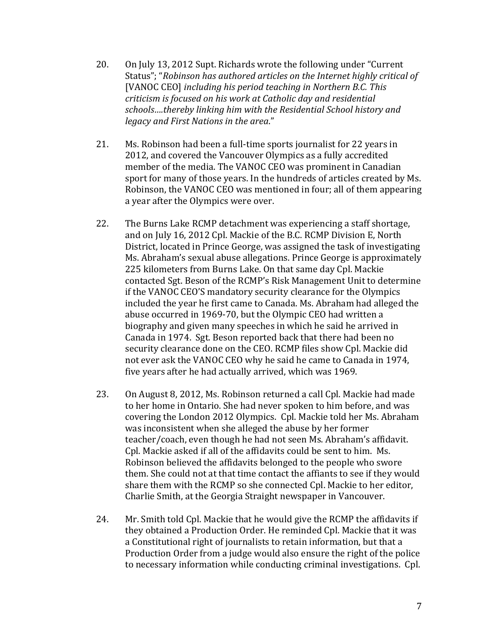- 20. On July 13, 2012 Supt. Richards wrote the following under "Current" Status"; "Robinson has authored articles on the Internet highly critical of [VANOC CEO] including his period teaching in Northern B.C. This *criticism is focused on his work at Catholic day and residential* schools....thereby linking him with the Residential School history and *legacy and First Nations in the area*."
- 21. Ms. Robinson had been a full-time sports journalist for 22 years in 2012, and covered the Vancouver Olympics as a fully accredited member of the media. The VANOC CEO was prominent in Canadian sport for many of those years. In the hundreds of articles created by Ms. Robinson, the VANOC CEO was mentioned in four; all of them appearing a year after the Olympics were over.
- 22. The Burns Lake RCMP detachment was experiencing a staff shortage, and on July 16, 2012 Cpl. Mackie of the B.C. RCMP Division E, North District, located in Prince George, was assigned the task of investigating Ms. Abraham's sexual abuse allegations. Prince George is approximately 225 kilometers from Burns Lake. On that same day Cpl. Mackie contacted Sgt. Beson of the RCMP's Risk Management Unit to determine if the VANOC CEO'S mandatory security clearance for the Olympics included the year he first came to Canada. Ms. Abraham had alleged the abuse occurred in 1969-70, but the Olympic CEO had written a biography and given many speeches in which he said he arrived in Canada in 1974. Sgt. Beson reported back that there had been no security clearance done on the CEO. RCMP files show Cpl. Mackie did not ever ask the VANOC CEO why he said he came to Canada in 1974, five years after he had actually arrived, which was 1969.
- 23. On August 8, 2012, Ms. Robinson returned a call Cpl. Mackie had made to her home in Ontario. She had never spoken to him before, and was covering the London 2012 Olympics. Cpl. Mackie told her Ms. Abraham was inconsistent when she alleged the abuse by her former teacher/coach, even though he had not seen Ms. Abraham's affidavit. Cpl. Mackie asked if all of the affidavits could be sent to him. Ms. Robinson believed the affidavits belonged to the people who swore them. She could not at that time contact the affiants to see if they would share them with the RCMP so she connected Cpl. Mackie to her editor, Charlie Smith, at the Georgia Straight newspaper in Vancouver.
- 24. Mr. Smith told Cpl. Mackie that he would give the RCMP the affidavits if they obtained a Production Order. He reminded Cpl. Mackie that it was a Constitutional right of journalists to retain information, but that a Production Order from a judge would also ensure the right of the police to necessary information while conducting criminal investigations. Cpl.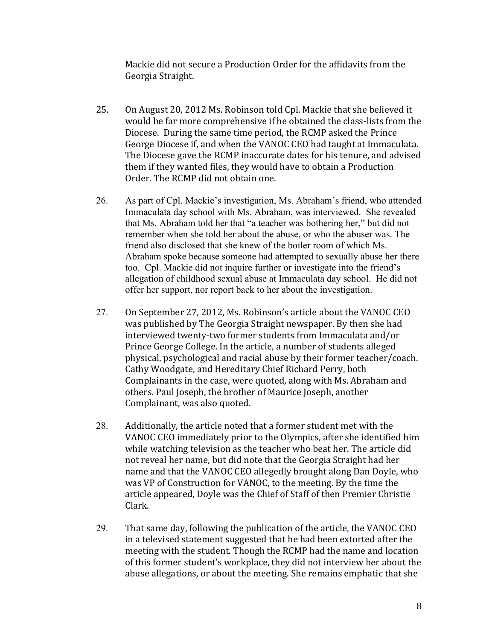Mackie did not secure a Production Order for the affidavits from the Georgia Straight. 

- 25. On August 20, 2012 Ms. Robinson told Cpl. Mackie that she believed it would be far more comprehensive if he obtained the class-lists from the Diocese. During the same time period, the RCMP asked the Prince George Diocese if, and when the VANOC CEO had taught at Immaculata. The Diocese gave the RCMP inaccurate dates for his tenure, and advised them if they wanted files, they would have to obtain a Production Order. The RCMP did not obtain one.
- 26. As part of Cpl. Mackie's investigation, Ms. Abraham's friend, who attended Immaculata day school with Ms. Abraham, was interviewed. She revealed that Ms. Abraham told her that "a teacher was bothering her," but did not remember when she told her about the abuse, or who the abuser was. The friend also disclosed that she knew of the boiler room of which Ms. Abraham spoke because someone had attempted to sexually abuse her there too. Cpl. Mackie did not inquire further or investigate into the friend's allegation of childhood sexual abuse at Immaculata day school. He did not offer her support, nor report back to her about the investigation.
- 27. On September 27, 2012, Ms. Robinson's article about the VANOC CEO was published by The Georgia Straight newspaper. By then she had interviewed twenty-two former students from Immaculata and/or Prince George College. In the article, a number of students alleged physical, psychological and racial abuse by their former teacher/coach. Cathy Woodgate, and Hereditary Chief Richard Perry, both Complainants in the case, were quoted, along with Ms. Abraham and others. Paul Joseph, the brother of Maurice Joseph, another Complainant, was also quoted.
- 28. Additionally, the article noted that a former student met with the VANOC CEO immediately prior to the Olympics, after she identified him while watching television as the teacher who beat her. The article did not reveal her name, but did note that the Georgia Straight had her name and that the VANOC CEO allegedly brought along Dan Doyle, who was VP of Construction for VANOC, to the meeting. By the time the article appeared, Doyle was the Chief of Staff of then Premier Christie Clark.
- 29. That same day, following the publication of the article, the VANOC CEO in a televised statement suggested that he had been extorted after the meeting with the student. Though the RCMP had the name and location of this former student's workplace, they did not interview her about the abuse allegations, or about the meeting. She remains emphatic that she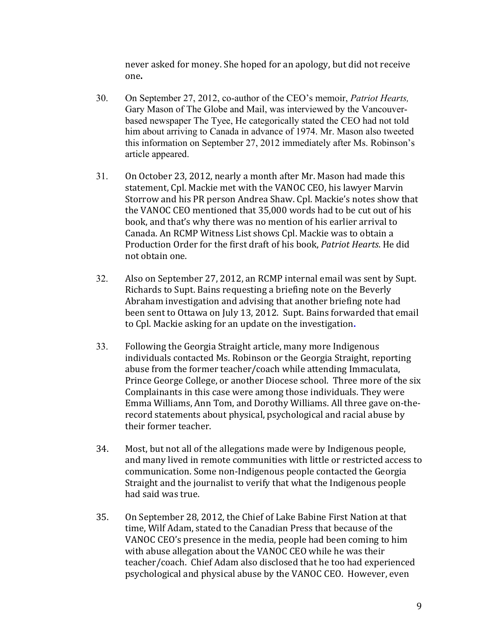never asked for money. She hoped for an apology, but did not receive one**.**

- 30. On September 27, 2012, co-author of the CEO's memoir, *Patriot Hearts,*  Gary Mason of The Globe and Mail, was interviewed by the Vancouverbased newspaper The Tyee, He categorically stated the CEO had not told him about arriving to Canada in advance of 1974. Mr. Mason also tweeted this information on September 27, 2012 immediately after Ms. Robinson's article appeared.
- 31. On October 23, 2012, nearly a month after Mr. Mason had made this statement, Cpl. Mackie met with the VANOC CEO, his lawyer Marvin Storrow and his PR person Andrea Shaw. Cpl. Mackie's notes show that the VANOC CEO mentioned that 35,000 words had to be cut out of his book, and that's why there was no mention of his earlier arrival to Canada. An RCMP Witness List shows Cpl. Mackie was to obtain a Production Order for the first draft of his book, Patriot Hearts. He did not obtain one.
- 32. Also on September 27, 2012, an RCMP internal email was sent by Supt. Richards to Supt. Bains requesting a briefing note on the Beverly Abraham investigation and advising that another briefing note had been sent to Ottawa on July 13, 2012. Supt. Bains forwarded that email to Cpl. Mackie asking for an update on the investigation.
- 33. Following the Georgia Straight article, many more Indigenous individuals contacted Ms. Robinson or the Georgia Straight, reporting abuse from the former teacher/coach while attending Immaculata, Prince George College, or another Diocese school. Three more of the six Complainants in this case were among those individuals. They were Emma Williams, Ann Tom, and Dorothy Williams. All three gave on-therecord statements about physical, psychological and racial abuse by their former teacher.
- 34. Most, but not all of the allegations made were by Indigenous people, and many lived in remote communities with little or restricted access to communication. Some non-Indigenous people contacted the Georgia Straight and the journalist to verify that what the Indigenous people had said was true.
- 35. On September 28, 2012, the Chief of Lake Babine First Nation at that time, Wilf Adam, stated to the Canadian Press that because of the VANOC CEO's presence in the media, people had been coming to him with abuse allegation about the VANOC CEO while he was their teacher/coach. Chief Adam also disclosed that he too had experienced psychological and physical abuse by the VANOC CEO. However, even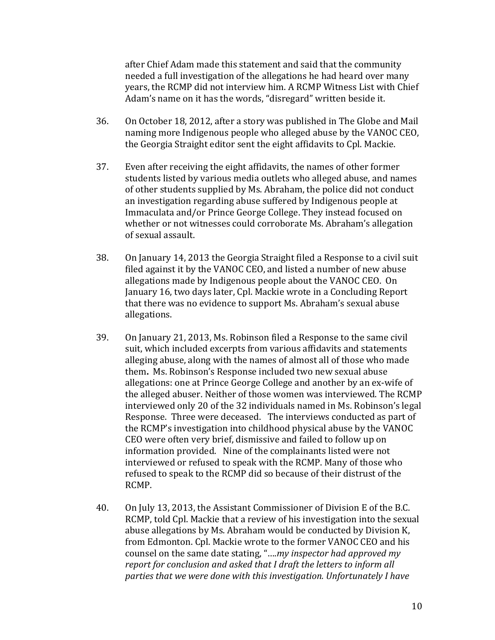after Chief Adam made this statement and said that the community needed a full investigation of the allegations he had heard over many years, the RCMP did not interview him. A RCMP Witness List with Chief Adam's name on it has the words, "disregard" written beside it.

- 36. On October 18, 2012, after a story was published in The Globe and Mail naming more Indigenous people who alleged abuse by the VANOC CEO, the Georgia Straight editor sent the eight affidavits to Cpl. Mackie.
- 37. Even after receiving the eight affidavits, the names of other former students listed by various media outlets who alleged abuse, and names of other students supplied by Ms. Abraham, the police did not conduct an investigation regarding abuse suffered by Indigenous people at Immaculata and/or Prince George College. They instead focused on whether or not witnesses could corroborate Ms. Abraham's allegation of sexual assault.
- 38. On January 14, 2013 the Georgia Straight filed a Response to a civil suit filed against it by the VANOC CEO, and listed a number of new abuse allegations made by Indigenous people about the VANOC CEO. On January 16, two days later, Cpl. Mackie wrote in a Concluding Report that there was no evidence to support Ms. Abraham's sexual abuse allegations.
- 39. On January 21, 2013, Ms. Robinson filed a Response to the same civil suit, which included excerpts from various affidavits and statements alleging abuse, along with the names of almost all of those who made them. Ms. Robinson's Response included two new sexual abuse allegations: one at Prince George College and another by an ex-wife of the alleged abuser. Neither of those women was interviewed. The RCMP interviewed only 20 of the 32 individuals named in Ms. Robinson's legal Response. Three were deceased. The interviews conducted as part of the RCMP's investigation into childhood physical abuse by the VANOC CEO were often very brief, dismissive and failed to follow up on information provided. Nine of the complainants listed were not interviewed or refused to speak with the RCMP. Many of those who refused to speak to the RCMP did so because of their distrust of the RCMP.
- 40. On July 13, 2013, the Assistant Commissioner of Division E of the B.C. RCMP, told Cpl. Mackie that a review of his investigation into the sexual abuse allegations by Ms. Abraham would be conducted by Division K, from Edmonton. Cpl. Mackie wrote to the former VANOC CEO and his counsel on the same date stating, "....*my inspector had approved my report for conclusion and asked that I draft the letters to inform all* parties that we were done with this investigation. Unfortunately I have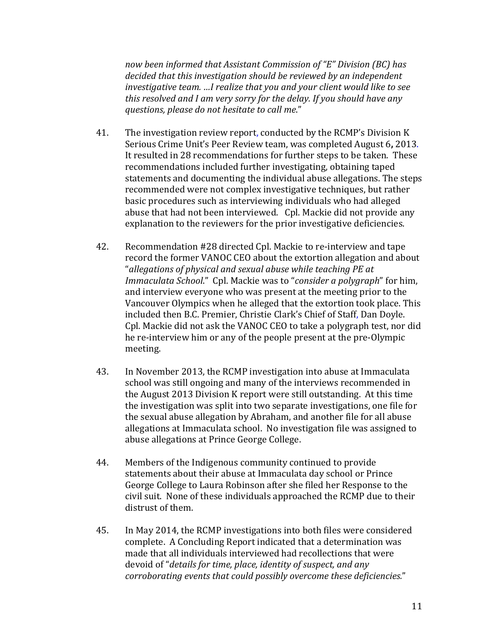*now been informed that Assistant Commission of "E" Division (BC) has*  decided that this investigation should be reviewed by an independent *investigative team.* …I realize that you and your client would like to see this resolved and I am very sorry for the delay. If you should have any *questions, please do not hesitate to call me*."

- 41. The investigation review report, conducted by the RCMP's Division K Serious Crime Unit's Peer Review team, was completed August 6, 2013. It resulted in 28 recommendations for further steps to be taken. These recommendations included further investigating, obtaining taped statements and documenting the individual abuse allegations. The steps recommended were not complex investigative techniques, but rather basic procedures such as interviewing individuals who had alleged abuse that had not been interviewed. Cpl. Mackie did not provide any explanation to the reviewers for the prior investigative deficiencies.
- 42. Recommendation #28 directed Cpl. Mackie to re-interview and tape record the former VANOC CEO about the extortion allegation and about "allegations of physical and sexual abuse while teaching PE at *Immaculata School.*" Cpl. Mackie was to "*consider a polygraph*" for him, and interview everyone who was present at the meeting prior to the Vancouver Olympics when he alleged that the extortion took place. This included then B.C. Premier, Christie Clark's Chief of Staff, Dan Doyle. Cpl. Mackie did not ask the VANOC CEO to take a polygraph test, nor did he re-interview him or any of the people present at the pre-Olympic meeting.
- 43. In November 2013, the RCMP investigation into abuse at Immaculata school was still ongoing and many of the interviews recommended in the August 2013 Division K report were still outstanding. At this time the investigation was split into two separate investigations, one file for the sexual abuse allegation by Abraham, and another file for all abuse allegations at Immaculata school. No investigation file was assigned to abuse allegations at Prince George College.
- 44. Members of the Indigenous community continued to provide statements about their abuse at Immaculata day school or Prince George College to Laura Robinson after she filed her Response to the civil suit. None of these individuals approached the RCMP due to their distrust of them.
- 45. In May 2014, the RCMP investigations into both files were considered complete. A Concluding Report indicated that a determination was made that all individuals interviewed had recollections that were devoid of "*details for time, place, identity of suspect, and any corroborating events that could possibly overcome these deficiencies."*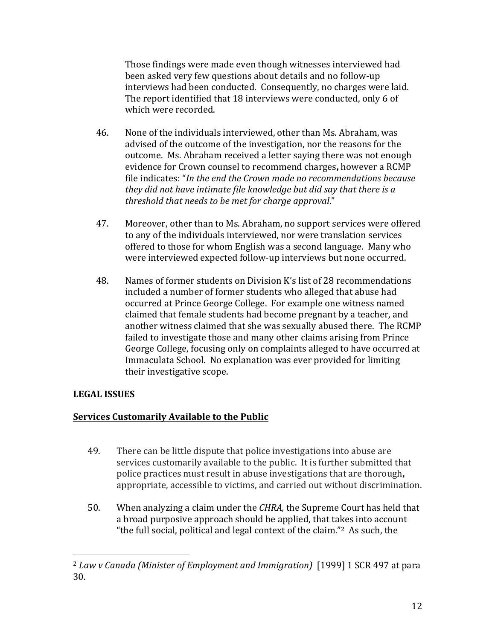Those findings were made even though witnesses interviewed had been asked very few questions about details and no follow-up interviews had been conducted. Consequently, no charges were laid. The report identified that 18 interviews were conducted, only 6 of which were recorded.

- 46. None of the individuals interviewed, other than Ms. Abraham, was advised of the outcome of the investigation, nor the reasons for the outcome. Ms. Abraham received a letter saying there was not enough evidence for Crown counsel to recommend charges, however a RCMP file indicates: "*In the end the Crown made no recommendations because they did not have intimate file knowledge but did say that there is a threshold that needs to be met for charge approval*."
- 47. Moreover, other than to Ms. Abraham, no support services were offered to any of the individuals interviewed, nor were translation services offered to those for whom English was a second language. Many who were interviewed expected follow-up interviews but none occurred.
- 48. Names of former students on Division K's list of 28 recommendations included a number of former students who alleged that abuse had occurred at Prince George College. For example one witness named claimed that female students had become pregnant by a teacher, and another witness claimed that she was sexually abused there. The RCMP failed to investigate those and many other claims arising from Prince George College, focusing only on complaints alleged to have occurred at Immaculata School. No explanation was ever provided for limiting their investigative scope.

# **LEGAL ISSUES**

 

### **<u>Services Customarily Available to the Public</u>**

- 49. There can be little dispute that police investigations into abuse are services customarily available to the public. It is further submitted that police practices must result in abuse investigations that are thorough, appropriate, accessible to victims, and carried out without discrimination.
- 50. When analyzing a claim under the *CHRA*, the Supreme Court has held that a broad purposive approach should be applied, that takes into account "the full social, political and legal context of the claim."<sup>2</sup> As such, the

<sup>&</sup>lt;sup>2</sup> Law v Canada (Minister of Employment and Immigration) [1999] 1 SCR 497 at para 30.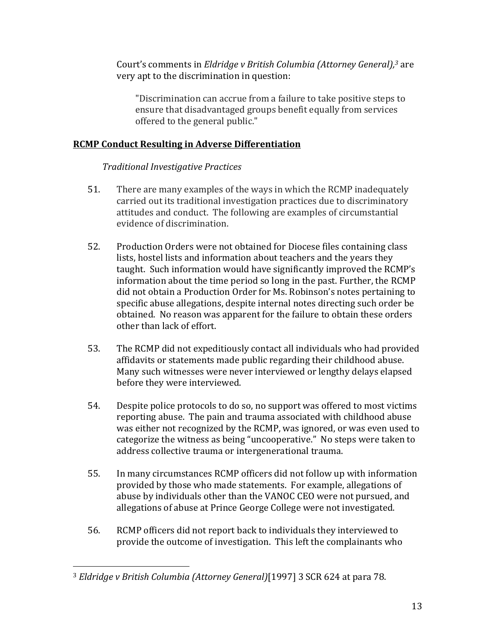Court's comments in *Eldridge v British Columbia (Attorney General)*,<sup>3</sup> are very apt to the discrimination in question:

"Discrimination can accrue from a failure to take positive steps to ensure that disadvantaged groups benefit equally from services offered to the general public."

# **RCMP Conduct Resulting in Adverse Differentiation**

# *Traditional Investigative Practices*

- 51. There are many examples of the ways in which the RCMP inadequately carried out its traditional investigation practices due to discriminatory attitudes and conduct. The following are examples of circumstantial evidence of discrimination.
- 52. Production Orders were not obtained for Diocese files containing class lists, hostel lists and information about teachers and the years they taught. Such information would have significantly improved the RCMP's information about the time period so long in the past. Further, the RCMP did not obtain a Production Order for Ms. Robinson's notes pertaining to specific abuse allegations, despite internal notes directing such order be obtained. No reason was apparent for the failure to obtain these orders other than lack of effort.
- 53. The RCMP did not expeditiously contact all individuals who had provided affidavits or statements made public regarding their childhood abuse. Many such witnesses were never interviewed or lengthy delays elapsed before they were interviewed.
- 54. Despite police protocols to do so, no support was offered to most victims reporting abuse. The pain and trauma associated with childhood abuse was either not recognized by the RCMP, was ignored, or was even used to categorize the witness as being "uncooperative." No steps were taken to address collective trauma or intergenerational trauma.
- 55. In many circumstances RCMP officers did not follow up with information provided by those who made statements. For example, allegations of abuse by individuals other than the VANOC CEO were not pursued, and allegations of abuse at Prince George College were not investigated.
- 56. RCMP officers did not report back to individuals they interviewed to provide the outcome of investigation. This left the complainants who

<sup>&</sup>lt;sup>3</sup> *Eldridge* v British Columbia (Attorney General)<sup>[1997]</sup> 3 SCR 624 at para 78.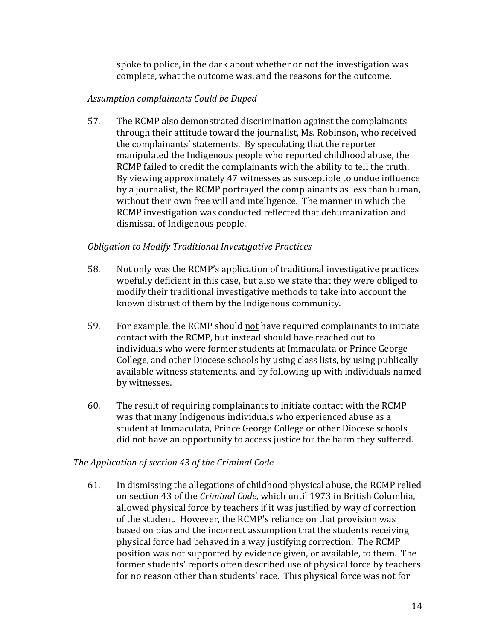spoke to police, in the dark about whether or not the investigation was complete, what the outcome was, and the reasons for the outcome.

### *Assumption complainants Could be Duped*

57. The RCMP also demonstrated discrimination against the complainants through their attitude toward the journalist, Ms. Robinson, who received the complainants' statements. By speculating that the reporter manipulated the Indigenous people who reported childhood abuse, the RCMP failed to credit the complainants with the ability to tell the truth. By viewing approximately 47 witnesses as susceptible to undue influence by a journalist, the RCMP portrayed the complainants as less than human, without their own free will and intelligence. The manner in which the RCMP investigation was conducted reflected that dehumanization and dismissal of Indigenous people.

### *Obligation to Modify Traditional Investigative Practices*

- 58. Not only was the RCMP's application of traditional investigative practices woefully deficient in this case, but also we state that they were obliged to modify their traditional investigative methods to take into account the known distrust of them by the Indigenous community.
- 59. For example, the RCMP should not have required complainants to initiate contact with the RCMP, but instead should have reached out to individuals who were former students at Immaculata or Prince George College, and other Diocese schools by using class lists, by using publically available witness statements, and by following up with individuals named by witnesses.
- 60. The result of requiring complainants to initiate contact with the RCMP was that many Indigenous individuals who experienced abuse as a student at Immaculata, Prince George College or other Diocese schools did not have an opportunity to access justice for the harm they suffered.

### The Application of section 43 of the Criminal Code

61. In dismissing the allegations of childhood physical abuse, the RCMP relied on section 43 of the *Criminal Code*, which until 1973 in British Columbia, allowed physical force by teachers if it was justified by way of correction of the student. However, the RCMP's reliance on that provision was based on bias and the incorrect assumption that the students receiving physical force had behaved in a way justifying correction. The RCMP position was not supported by evidence given, or available, to them. The former students' reports often described use of physical force by teachers for no reason other than students' race. This physical force was not for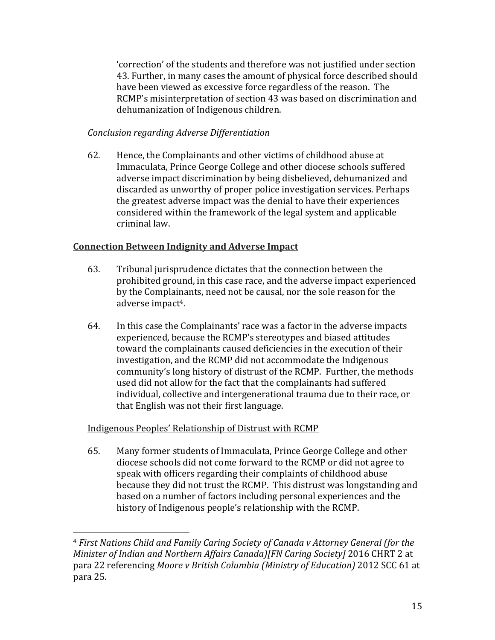'correction' of the students and therefore was not justified under section 43. Further, in many cases the amount of physical force described should have been viewed as excessive force regardless of the reason. The RCMP's misinterpretation of section 43 was based on discrimination and dehumanization of Indigenous children.

# *Conclusion regarding Adverse Differentiation*

62. Hence, the Complainants and other victims of childhood abuse at Immaculata, Prince George College and other diocese schools suffered adverse impact discrimination by being disbelieved, dehumanized and discarded as unworthy of proper police investigation services. Perhaps the greatest adverse impact was the denial to have their experiences considered within the framework of the legal system and applicable criminal law.

# **Connection Between Indignity and Adverse Impact**

- 63. Tribunal jurisprudence dictates that the connection between the prohibited ground, in this case race, and the adverse impact experienced by the Complainants, need not be causal, nor the sole reason for the adverse impact<sup>4</sup>.
- 64. In this case the Complainants' race was a factor in the adverse impacts experienced, because the RCMP's stereotypes and biased attitudes toward the complainants caused deficiencies in the execution of their investigation, and the RCMP did not accommodate the Indigenous community's long history of distrust of the RCMP. Further, the methods used did not allow for the fact that the complainants had suffered individual, collective and intergenerational trauma due to their race, or that English was not their first language.

# Indigenous Peoples' Relationship of Distrust with RCMP

 

65. Many former students of Immaculata, Prince George College and other diocese schools did not come forward to the RCMP or did not agree to speak with officers regarding their complaints of childhood abuse because they did not trust the RCMP. This distrust was longstanding and based on a number of factors including personal experiences and the history of Indigenous people's relationship with the RCMP.

<sup>&</sup>lt;sup>4</sup> First Nations Child and Family Caring Society of Canada v Attorney General (for the *Minister of Indian and Northern Affairs Canada)[FN Caring Society]* 2016 CHRT 2 at para 22 referencing *Moore v British Columbia (Ministry of Education)* 2012 SCC 61 at para 25.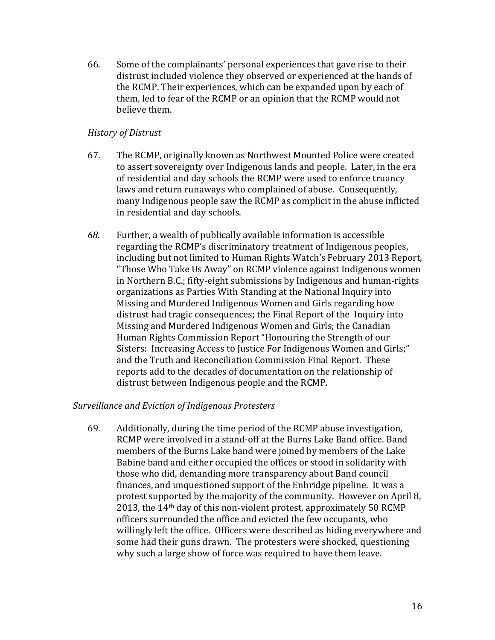66. Some of the complainants' personal experiences that gave rise to their distrust included violence they observed or experienced at the hands of the RCMP. Their experiences, which can be expanded upon by each of them, led to fear of the RCMP or an opinion that the RCMP would not believe them.

## *History of Distrust*

- 67. The RCMP, originally known as Northwest Mounted Police were created to assert sovereignty over Indigenous lands and people. Later, in the era of residential and day schools the RCMP were used to enforce truancy laws and return runaways who complained of abuse. Consequently, many Indigenous people saw the RCMP as complicit in the abuse inflicted in residential and day schools.
- 68. Further, a wealth of publically available information is accessible regarding the RCMP's discriminatory treatment of Indigenous peoples, including but not limited to Human Rights Watch's February 2013 Report, "Those Who Take Us Away" on RCMP violence against Indigenous women in Northern B.C.; fifty-eight submissions by Indigenous and human-rights organizations as Parties With Standing at the National Inquiry into Missing and Murdered Indigenous Women and Girls regarding how distrust had tragic consequences; the Final Report of the Inquiry into Missing and Murdered Indigenous Women and Girls; the Canadian Human Rights Commission Report "Honouring the Strength of our Sisters: Increasing Access to Justice For Indigenous Women and Girls;" and the Truth and Reconciliation Commission Final Report. These reports add to the decades of documentation on the relationship of distrust between Indigenous people and the RCMP.

### Surveillance and Eviction of Indigenous Protesters

69. Additionally, during the time period of the RCMP abuse investigation, RCMP were involved in a stand-off at the Burns Lake Band office. Band members of the Burns Lake band were joined by members of the Lake Babine band and either occupied the offices or stood in solidarity with those who did, demanding more transparency about Band council finances, and unquestioned support of the Enbridge pipeline. It was a protest supported by the majority of the community. However on April 8, 2013, the  $14<sup>th</sup>$  day of this non-violent protest, approximately 50 RCMP officers surrounded the office and evicted the few occupants, who willingly left the office. Officers were described as hiding everywhere and some had their guns drawn. The protesters were shocked, questioning why such a large show of force was required to have them leave.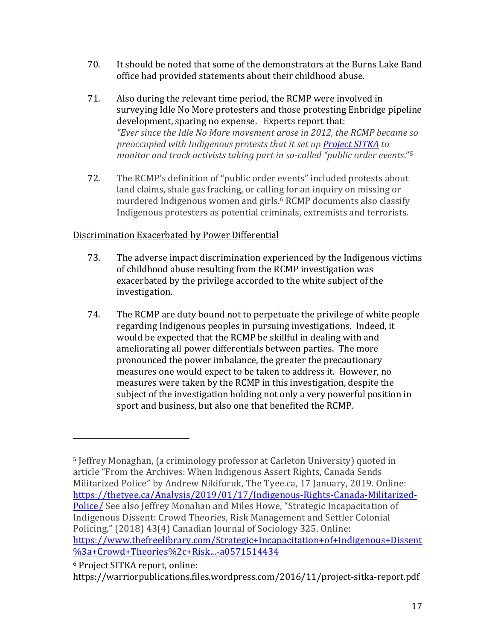- 70. It should be noted that some of the demonstrators at the Burns Lake Band office had provided statements about their childhood abuse.
- 71. Also during the relevant time period, the RCMP were involved in surveying Idle No More protesters and those protesting Enbridge pipeline development, sparing no expense. Experts report that: "Ever since the Idle No More movement arose in 2012, the RCMP became so *preoccupied with Indigenous protests that it set up Project SITKA to monitor and track activists taking part in so-called "public order events."*<sup>5</sup>
- 72. The RCMP's definition of "public order events" included protests about land claims, shale gas fracking, or calling for an inquiry on missing or murdered Indigenous women and girls.<sup>6</sup> RCMP documents also classify Indigenous protesters as potential criminals, extremists and terrorists.

# Discrimination Exacerbated by Power Differential

- 73. The adverse impact discrimination experienced by the Indigenous victims of childhood abuse resulting from the RCMP investigation was exacerbated by the privilege accorded to the white subject of the investigation.
- 74. The RCMP are duty bound not to perpetuate the privilege of white people regarding Indigenous peoples in pursuing investigations. Indeed, it would be expected that the RCMP be skillful in dealing with and ameliorating all power differentials between parties. The more pronounced the power imbalance, the greater the precautionary measures one would expect to be taken to address it. However, no measures were taken by the RCMP in this investigation, despite the subject of the investigation holding not only a very powerful position in sport and business, but also one that benefited the RCMP.

<sup>&</sup>lt;sup>5</sup> Jeffrey Monaghan, (a criminology professor at Carleton University) quoted in article "From the Archives: When Indigenous Assert Rights, Canada Sends Militarized Police" by Andrew Nikiforuk, The Tyee.ca, 17 January, 2019. Online: https://thetyee.ca/Analysis/2019/01/17/Indigenous-Rights-Canada-Militarized-Police/ See also Jeffrey Monahan and Miles Howe, "Strategic Incapacitation of Indigenous Dissent: Crowd Theories, Risk Management and Settler Colonial Policing," (2018) 43(4) Canadian Journal of Sociology 325. Online: https://www.thefreelibrary.com/Strategic+Incapacitation+of+Indigenous+Dissent %3a+Crowd+Theories%2c+Risk...-a0571514434

<sup>&</sup>lt;sup>6</sup> Project SITKA report, online:

https://warriorpublications.files.wordpress.com/2016/11/project-sitka-report.pdf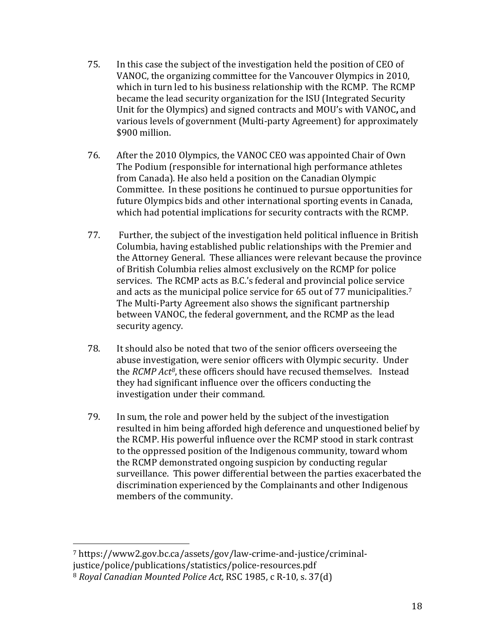- 75. In this case the subject of the investigation held the position of CEO of VANOC, the organizing committee for the Vancouver Olympics in 2010, which in turn led to his business relationship with the RCMP. The RCMP became the lead security organization for the ISU (Integrated Security Unit for the Olympics) and signed contracts and MOU's with VANOC, and various levels of government (Multi-party Agreement) for approximately \$900 million.
- 76. After the 2010 Olympics, the VANOC CEO was appointed Chair of Own The Podium (responsible for international high performance athletes from Canada). He also held a position on the Canadian Olympic Committee. In these positions he continued to pursue opportunities for future Olympics bids and other international sporting events in Canada, which had potential implications for security contracts with the RCMP.
- 77. Further, the subject of the investigation held political influence in British Columbia, having established public relationships with the Premier and the Attorney General. These alliances were relevant because the province of British Columbia relies almost exclusively on the RCMP for police services. The RCMP acts as B.C.'s federal and provincial police service and acts as the municipal police service for 65 out of 77 municipalities.<sup>7</sup> The Multi-Party Agreement also shows the significant partnership between VANOC, the federal government, and the RCMP as the lead security agency.
- 78. It should also be noted that two of the senior officers overseeing the abuse investigation, were senior officers with Olympic security. Under the *RCMP* Act<sup>8</sup>, these officers should have recused themselves. Instead they had significant influence over the officers conducting the investigation under their command.
- 79. In sum, the role and power held by the subject of the investigation resulted in him being afforded high deference and unquestioned belief by the RCMP. His powerful influence over the RCMP stood in stark contrast to the oppressed position of the Indigenous community, toward whom the RCMP demonstrated ongoing suspicion by conducting regular surveillance. This power differential between the parties exacerbated the discrimination experienced by the Complainants and other Indigenous members of the community.

<sup>7</sup> https://www2.gov.bc.ca/assets/gov/law-crime-and-justice/criminaljustice/police/publications/statistics/police-resources.pdf

<sup>&</sup>lt;sup>8</sup> Royal Canadian Mounted Police Act, RSC 1985, c R-10, s. 37(d)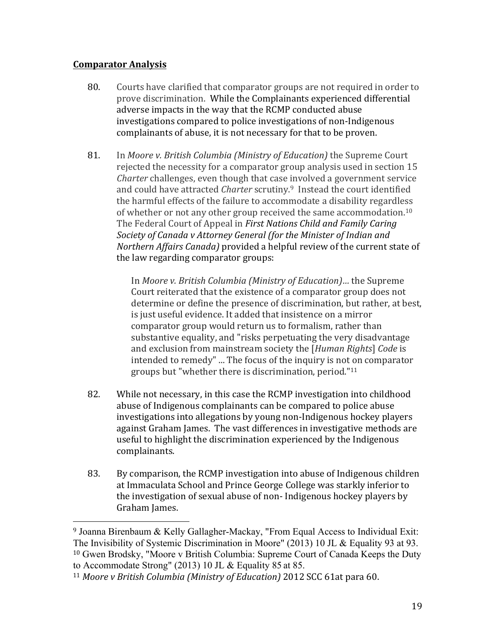# **Comparator Analysis**

 

- 80. Courts have clarified that comparator groups are not required in order to prove discrimination. While the Complainants experienced differential adverse impacts in the way that the RCMP conducted abuse investigations compared to police investigations of non-Indigenous complainants of abuse, it is not necessary for that to be proven.
- 81. In *Moore v. British Columbia (Ministry of Education)* the Supreme Court rejected the necessity for a comparator group analysis used in section 15 *Charter* challenges, even though that case involved a government service and could have attracted *Charter* scrutiny.<sup>9</sup> Instead the court identified the harmful effects of the failure to accommodate a disability regardless of whether or not any other group received the same accommodation.<sup>10</sup> The Federal Court of Appeal in *First Nations Child and Family Caring* Society of Canada v Attorney General (for the Minister of Indian and *Northern Affairs Canada*) provided a helpful review of the current state of the law regarding comparator groups:

In *Moore v. British Columbia (Ministry of Education)...* the Supreme Court reiterated that the existence of a comparator group does not determine or define the presence of discrimination, but rather, at best, is just useful evidence. It added that insistence on a mirror comparator group would return us to formalism, rather than substantive equality, and "risks perpetuating the very disadvantage and exclusion from mainstream society the [*Human Rights*] *Code* is intended to remedy" ... The focus of the inquiry is not on comparator groups but "whether there is discrimination, period." $11$ 

- 82. While not necessary, in this case the RCMP investigation into childhood abuse of Indigenous complainants can be compared to police abuse investigations into allegations by young non-Indigenous hockey players against Graham James. The vast differences in investigative methods are useful to highlight the discrimination experienced by the Indigenous complainants.
- 83. By comparison, the RCMP investigation into abuse of Indigenous children at Immaculata School and Prince George College was starkly inferior to the investigation of sexual abuse of non-Indigenous hockey players by Graham James.

<sup>9</sup> Joanna Birenbaum & Kelly Gallagher-Mackay, "From Equal Access to Individual Exit: The Invisibility of Systemic Discrimination in Moore" (2013) 10 JL & Equality 93 at 93. <sup>10</sup> Gwen Brodsky, "Moore v British Columbia: Supreme Court of Canada Keeps the Duty to Accommodate Strong" (2013) 10 JL & Equality 85 at 85.

<sup>&</sup>lt;sup>11</sup> Moore v British Columbia (Ministry of Education) 2012 SCC 61at para 60.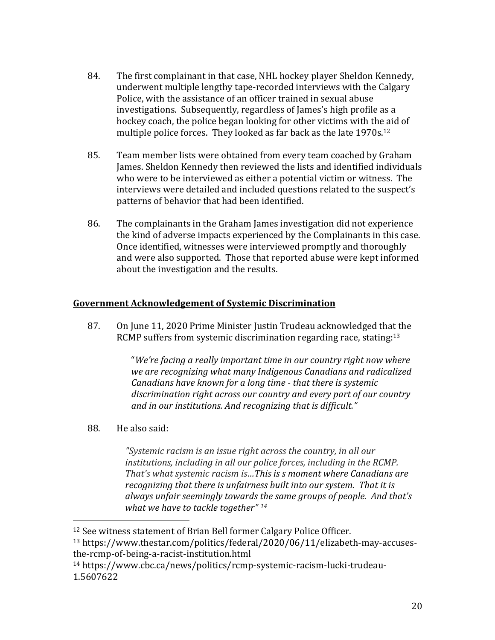- 84. The first complainant in that case, NHL hockey player Sheldon Kennedy, underwent multiple lengthy tape-recorded interviews with the Calgary Police, with the assistance of an officer trained in sexual abuse investigations. Subsequently, regardless of James's high profile as a hockey coach, the police began looking for other victims with the aid of multiple police forces. They looked as far back as the late  $1970s^{12}$
- 85. Team member lists were obtained from every team coached by Graham James. Sheldon Kennedy then reviewed the lists and identified individuals who were to be interviewed as either a potential victim or witness. The interviews were detailed and included questions related to the suspect's patterns of behavior that had been identified.
- 86. The complainants in the Graham James investigation did not experience the kind of adverse impacts experienced by the Complainants in this case. Once identified, witnesses were interviewed promptly and thoroughly and were also supported. Those that reported abuse were kept informed about the investigation and the results.

# **Government Acknowledgement of Systemic Discrimination**

87. On June 11, 2020 Prime Minister Justin Trudeau acknowledged that the RCMP suffers from systemic discrimination regarding race, stating: $13$ 

> "We're facing a really important time in our country right now where we are recognizing what many Indigenous Canadians and radicalized *Canadians have known for a long time - that there is systemic* discrimination right across our country and every part of our country and in our institutions. And recognizing that is difficult."

88. He also said:

 

"Systemic racism is an issue right across the country, in all our *institutions, including in all our police forces, including in the RCMP.* That's what systemic racism is...This is s moment where Canadians are recognizing that there is unfairness built into our system. That it is always unfair seemingly towards the same groups of people. And that's *what* we have to tackle together" <sup>14</sup>

<sup>&</sup>lt;sup>12</sup> See witness statement of Brian Bell former Calgary Police Officer. <sup>13</sup> https://www.thestar.com/politics/federal/2020/06/11/elizabeth-may-accusesthe-rcmp-of-being-a-racist-institution.html

<sup>14</sup> https://www.cbc.ca/news/politics/rcmp-systemic-racism-lucki-trudeau-1.5607622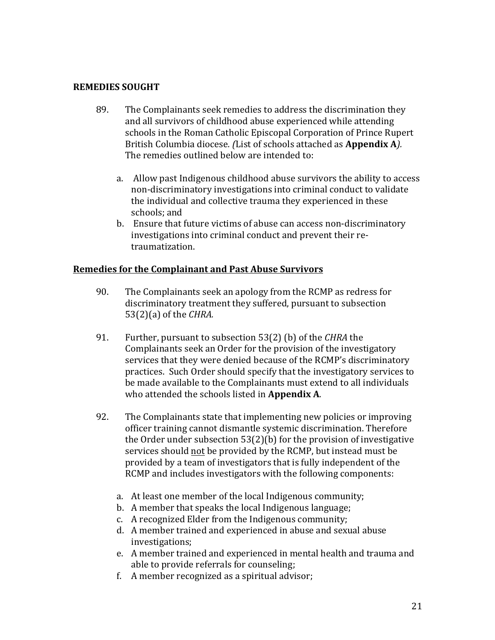### **REMEDIES SOUGHT**

- 89. The Complainants seek remedies to address the discrimination they and all survivors of childhood abuse experienced while attending schools in the Roman Catholic Episcopal Corporation of Prince Rupert British Columbia diocese. *(List of schools attached as Appendix A).* The remedies outlined below are intended to:
	- a. Allow past Indigenous childhood abuse survivors the ability to access non-discriminatory investigations into criminal conduct to validate the individual and collective trauma they experienced in these schools; and
	- b. Ensure that future victims of abuse can access non-discriminatory investigations into criminal conduct and prevent their retraumatization.

#### **Remedies for the Complainant and Past Abuse Survivors**

- 90. The Complainants seek an apology from the RCMP as redress for discriminatory treatment they suffered, pursuant to subsection  $53(2)(a)$  of the *CHRA*.
- 91. Further, pursuant to subsection 53(2) (b) of the *CHRA* the Complainants seek an Order for the provision of the investigatory services that they were denied because of the RCMP's discriminatory practices. Such Order should specify that the investigatory services to be made available to the Complainants must extend to all individuals who attended the schools listed in **Appendix A**.
- 92. The Complainants state that implementing new policies or improving officer training cannot dismantle systemic discrimination. Therefore the Order under subsection  $53(2)(b)$  for the provision of investigative services should not be provided by the RCMP, but instead must be provided by a team of investigators that is fully independent of the RCMP and includes investigators with the following components:
	- a. At least one member of the local Indigenous community;
	- b. A member that speaks the local Indigenous language;
	- c. A recognized Elder from the Indigenous community;
	- d. A member trained and experienced in abuse and sexual abuse investigations;
	- e. A member trained and experienced in mental health and trauma and able to provide referrals for counseling;
	- f. A member recognized as a spiritual advisor;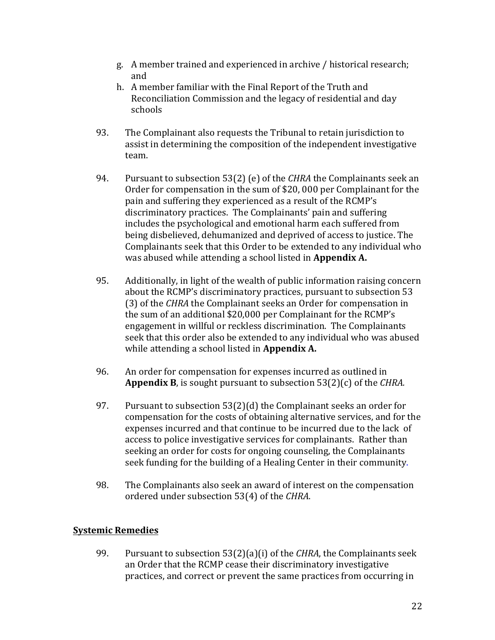- g. A member trained and experienced in archive / historical research; and
- h. A member familiar with the Final Report of the Truth and Reconciliation Commission and the legacy of residential and day schools
- 93. The Complainant also requests the Tribunal to retain jurisdiction to assist in determining the composition of the independent investigative team.
- 94. Pursuant to subsection 53(2) (e) of the *CHRA* the Complainants seek an Order for compensation in the sum of  $$20,000$  per Complainant for the pain and suffering they experienced as a result of the RCMP's discriminatory practices. The Complainants' pain and suffering includes the psychological and emotional harm each suffered from being disbelieved, dehumanized and deprived of access to justice. The Complainants seek that this Order to be extended to any individual who was abused while attending a school listed in **Appendix A.**
- 95. Additionally, in light of the wealth of public information raising concern about the RCMP's discriminatory practices, pursuant to subsection 53 (3) of the *CHRA* the Complainant seeks an Order for compensation in the sum of an additional \$20,000 per Complainant for the RCMP's engagement in willful or reckless discrimination. The Complainants seek that this order also be extended to any individual who was abused while attending a school listed in **Appendix A.**
- 96. An order for compensation for expenses incurred as outlined in **Appendix B**, is sought pursuant to subsection 53(2)(c) of the *CHRA*.
- 97. Pursuant to subsection  $53(2)(d)$  the Complainant seeks an order for compensation for the costs of obtaining alternative services, and for the expenses incurred and that continue to be incurred due to the lack of access to police investigative services for complainants. Rather than seeking an order for costs for ongoing counseling, the Complainants seek funding for the building of a Healing Center in their community.
- 98. The Complainants also seek an award of interest on the compensation ordered under subsection 53(4) of the *CHRA*.

# **Systemic Remedies**

99. Pursuant to subsection 53(2)(a)(i) of the *CHRA*, the Complainants seek an Order that the RCMP cease their discriminatory investigative practices, and correct or prevent the same practices from occurring in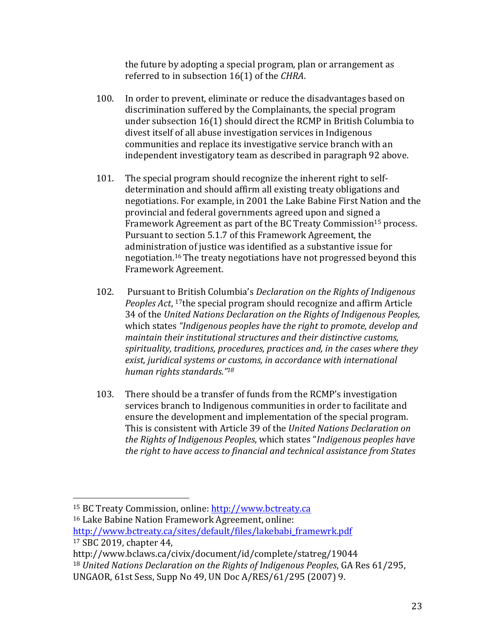the future by adopting a special program, plan or arrangement as referred to in subsection 16(1) of the CHRA.

- 100. In order to prevent, eliminate or reduce the disadvantages based on discrimination suffered by the Complainants, the special program under subsection  $16(1)$  should direct the RCMP in British Columbia to divest itself of all abuse investigation services in Indigenous communities and replace its investigative service branch with an independent investigatory team as described in paragraph 92 above.
- 101. The special program should recognize the inherent right to selfdetermination and should affirm all existing treaty obligations and negotiations. For example, in 2001 the Lake Babine First Nation and the provincial and federal governments agreed upon and signed a Framework Agreement as part of the BC Treaty Commission<sup>15</sup> process. Pursuant to section 5.1.7 of this Framework Agreement, the administration of justice was identified as a substantive issue for negotiation.<sup>16</sup> The treaty negotiations have not progressed beyond this Framework Agreement.
- 102. Pursuant to British Columbia's *Declaration* on the Rights of Indigenous *Peoples Act*, <sup>17</sup>the special program should recognize and affirm Article 34 of the United Nations Declaration on the Rights of Indigenous Peoples, which states *"Indigenous peoples have the right to promote, develop and* maintain their institutional structures and their distinctive customs, spirituality, traditions, procedures, practices and, in the cases where they exist, juridical systems or customs, in accordance with international *human rights standards."18*
- 103. There should be a transfer of funds from the RCMP's investigation services branch to Indigenous communities in order to facilitate and ensure the development and implementation of the special program. This is consistent with Article 39 of the *United Nations Declaration on* the Rights of Indigenous Peoples, which states "Indigenous peoples have the right to have access to financial and technical assistance from States

<sup>&</sup>lt;sup>15</sup> BC Treaty Commission, online: http://www.bctreaty.ca

<sup>&</sup>lt;sup>16</sup> Lake Babine Nation Framework Agreement, online:

http://www.bctreaty.ca/sites/default/files/lakebabi\_framewrk.pdf <sup>17</sup> SBC 2019, chapter 44,

http://www.bclaws.ca/civix/document/id/complete/statreg/19044

<sup>&</sup>lt;sup>18</sup> United Nations Declaration on the Rights of Indigenous Peoples, GA Res 61/295,

UNGAOR, 61st Sess, Supp No 49, UN Doc A/RES/61/295 (2007) 9.